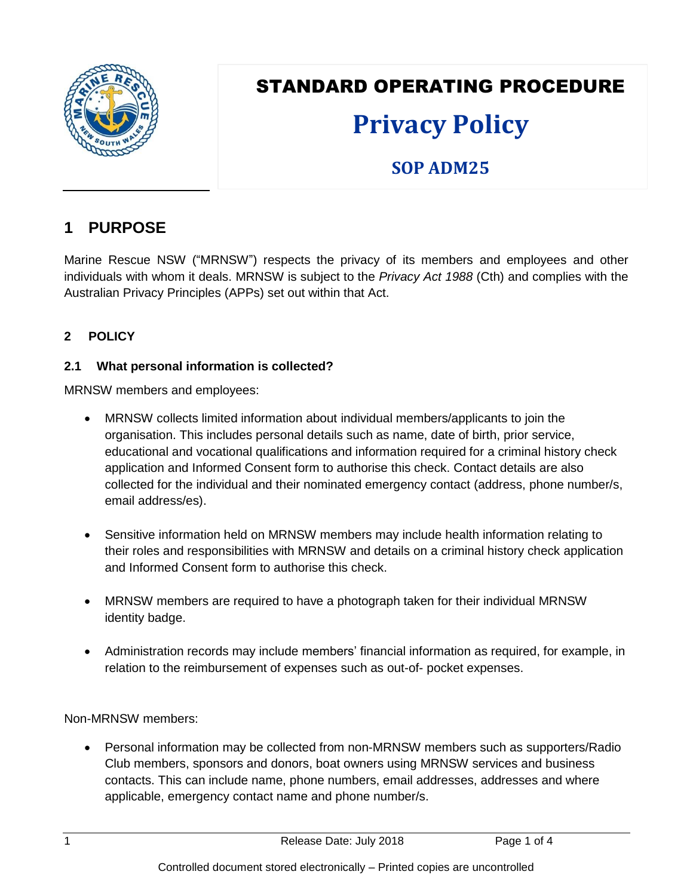

# STANDARD OPERATING PROCEDURE

# **Privacy Policy**

# **SOP ADM25**

# **1 PURPOSE**

Marine Rescue NSW ("MRNSW") respects the privacy of its members and employees and other individuals with whom it deals. MRNSW is subject to the *Privacy Act 1988* (Cth) and complies with the Australian Privacy Principles (APPs) set out within that Act.

# **2 POLICY**

## **2.1 What personal information is collected?**

MRNSW members and employees:

- MRNSW collects limited information about individual members/applicants to join the organisation. This includes personal details such as name, date of birth, prior service, educational and vocational qualifications and information required for a criminal history check application and Informed Consent form to authorise this check. Contact details are also collected for the individual and their nominated emergency contact (address, phone number/s, email address/es).
- Sensitive information held on MRNSW members may include health information relating to their roles and responsibilities with MRNSW and details on a criminal history check application and Informed Consent form to authorise this check.
- MRNSW members are required to have a photograph taken for their individual MRNSW identity badge.
- Administration records may include members' financial information as required, for example, in relation to the reimbursement of expenses such as out-of- pocket expenses.

Non-MRNSW members:

 Personal information may be collected from non-MRNSW members such as supporters/Radio Club members, sponsors and donors, boat owners using MRNSW services and business contacts. This can include name, phone numbers, email addresses, addresses and where applicable, emergency contact name and phone number/s.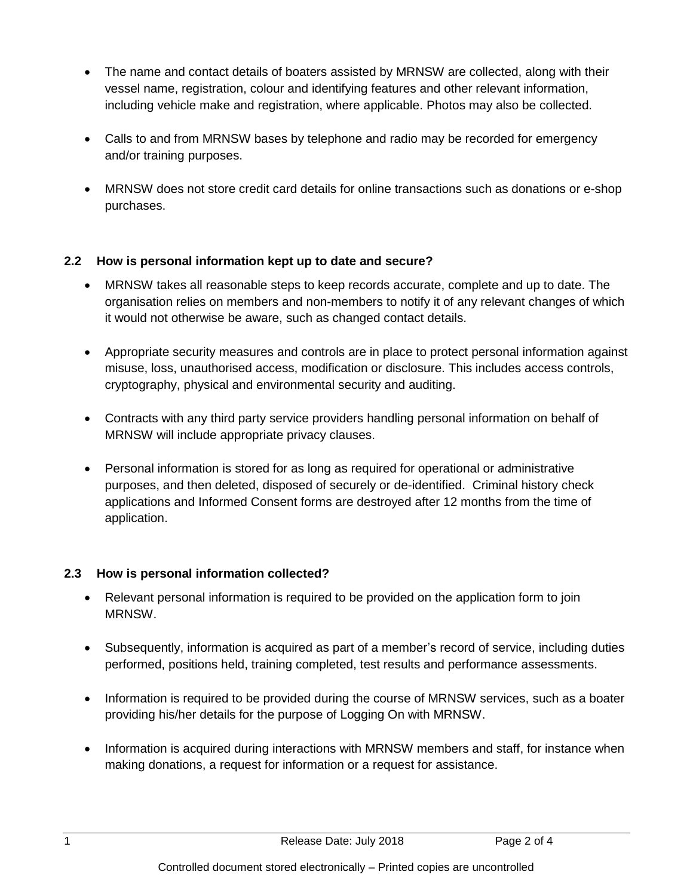- The name and contact details of boaters assisted by MRNSW are collected, along with their vessel name, registration, colour and identifying features and other relevant information, including vehicle make and registration, where applicable. Photos may also be collected.
- Calls to and from MRNSW bases by telephone and radio may be recorded for emergency and/or training purposes.
- MRNSW does not store credit card details for online transactions such as donations or e-shop purchases.

## **2.2 How is personal information kept up to date and secure?**

- MRNSW takes all reasonable steps to keep records accurate, complete and up to date. The organisation relies on members and non-members to notify it of any relevant changes of which it would not otherwise be aware, such as changed contact details.
- Appropriate security measures and controls are in place to protect personal information against misuse, loss, unauthorised access, modification or disclosure. This includes access controls, cryptography, physical and environmental security and auditing.
- Contracts with any third party service providers handling personal information on behalf of MRNSW will include appropriate privacy clauses.
- Personal information is stored for as long as required for operational or administrative purposes, and then deleted, disposed of securely or de-identified. Criminal history check applications and Informed Consent forms are destroyed after 12 months from the time of application.

# **2.3 How is personal information collected?**

- Relevant personal information is required to be provided on the application form to join MRNSW.
- Subsequently, information is acquired as part of a member's record of service, including duties performed, positions held, training completed, test results and performance assessments.
- Information is required to be provided during the course of MRNSW services, such as a boater providing his/her details for the purpose of Logging On with MRNSW.
- Information is acquired during interactions with MRNSW members and staff, for instance when making donations, a request for information or a request for assistance.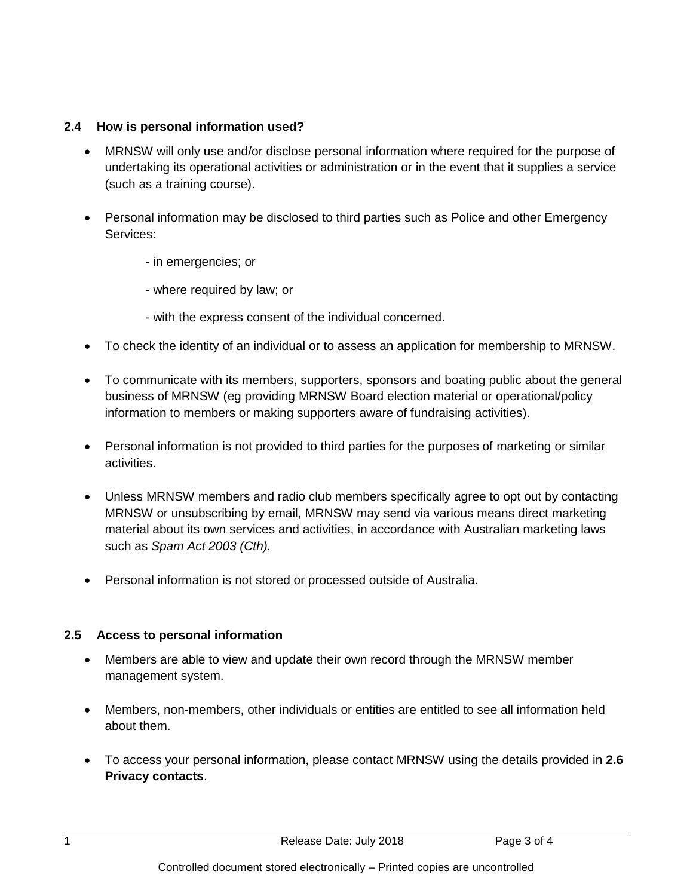#### **2.4 How is personal information used?**

- MRNSW will only use and/or disclose personal information where required for the purpose of undertaking its operational activities or administration or in the event that it supplies a service (such as a training course).
- Personal information may be disclosed to third parties such as Police and other Emergency Services:
	- in emergencies; or
	- where required by law; or
	- with the express consent of the individual concerned.
- To check the identity of an individual or to assess an application for membership to MRNSW.
- To communicate with its members, supporters, sponsors and boating public about the general business of MRNSW (eg providing MRNSW Board election material or operational/policy information to members or making supporters aware of fundraising activities).
- Personal information is not provided to third parties for the purposes of marketing or similar activities.
- Unless MRNSW members and radio club members specifically agree to opt out by contacting MRNSW or unsubscribing by email, MRNSW may send via various means direct marketing material about its own services and activities, in accordance with Australian marketing laws such as *Spam Act 2003 (Cth).*
- Personal information is not stored or processed outside of Australia.

#### **2.5 Access to personal information**

- Members are able to view and update their own record through the MRNSW member management system.
- Members, non-members, other individuals or entities are entitled to see all information held about them.
- To access your personal information, please contact MRNSW using the details provided in **2.6 Privacy contacts**.